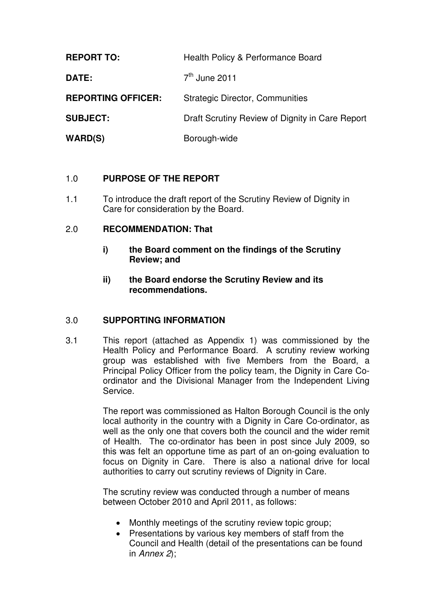| <b>REPORT TO:</b>         | Health Policy & Performance Board               |  |
|---------------------------|-------------------------------------------------|--|
| DATE:                     | $7th$ June 2011                                 |  |
| <b>REPORTING OFFICER:</b> | <b>Strategic Director, Communities</b>          |  |
| <b>SUBJECT:</b>           | Draft Scrutiny Review of Dignity in Care Report |  |
| <b>WARD(S)</b>            | Borough-wide                                    |  |

# 1.0 **PURPOSE OF THE REPORT**

1.1 To introduce the draft report of the Scrutiny Review of Dignity in Care for consideration by the Board.

### 2.0 **RECOMMENDATION: That**

- **i) the Board comment on the findings of the Scrutiny Review; and**
- **ii) the Board endorse the Scrutiny Review and its recommendations.**

# 3.0 **SUPPORTING INFORMATION**

3.1 This report (attached as Appendix 1) was commissioned by the Health Policy and Performance Board. A scrutiny review working group was established with five Members from the Board, a Principal Policy Officer from the policy team, the Dignity in Care Coordinator and the Divisional Manager from the Independent Living Service.

> The report was commissioned as Halton Borough Council is the only local authority in the country with a Dignity in Care Co-ordinator, as well as the only one that covers both the council and the wider remit of Health. The co-ordinator has been in post since July 2009, so this was felt an opportune time as part of an on-going evaluation to focus on Dignity in Care. There is also a national drive for local authorities to carry out scrutiny reviews of Dignity in Care.

The scrutiny review was conducted through a number of means between October 2010 and April 2011, as follows:

- Monthly meetings of the scrutiny review topic group;
- Presentations by various key members of staff from the Council and Health (detail of the presentations can be found in Annex 2);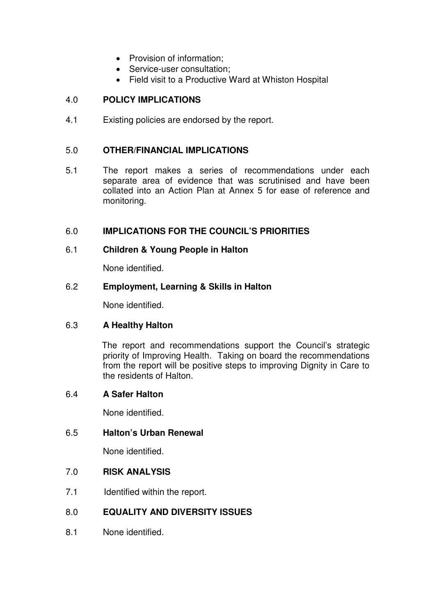- Provision of information;
- Service-user consultation:
- Field visit to a Productive Ward at Whiston Hospital

# 4.0 **POLICY IMPLICATIONS**

4.1 Existing policies are endorsed by the report.

## 5.0 **OTHER/FINANCIAL IMPLICATIONS**

5.1 The report makes a series of recommendations under each separate area of evidence that was scrutinised and have been collated into an Action Plan at Annex 5 for ease of reference and monitoring.

### 6.0 **IMPLICATIONS FOR THE COUNCIL'S PRIORITIES**

#### 6.1 **Children & Young People in Halton**

None identified.

#### 6.2 **Employment, Learning & Skills in Halton**

None identified.

#### 6.3 **A Healthy Halton**

The report and recommendations support the Council's strategic priority of Improving Health. Taking on board the recommendations from the report will be positive steps to improving Dignity in Care to the residents of Halton.

#### 6.4 **A Safer Halton**

None identified.

#### 6.5 **Halton's Urban Renewal**

None identified.

#### 7.0 **RISK ANALYSIS**

7.1 Identified within the report.

# 8.0 **EQUALITY AND DIVERSITY ISSUES**

8.1 None identified.